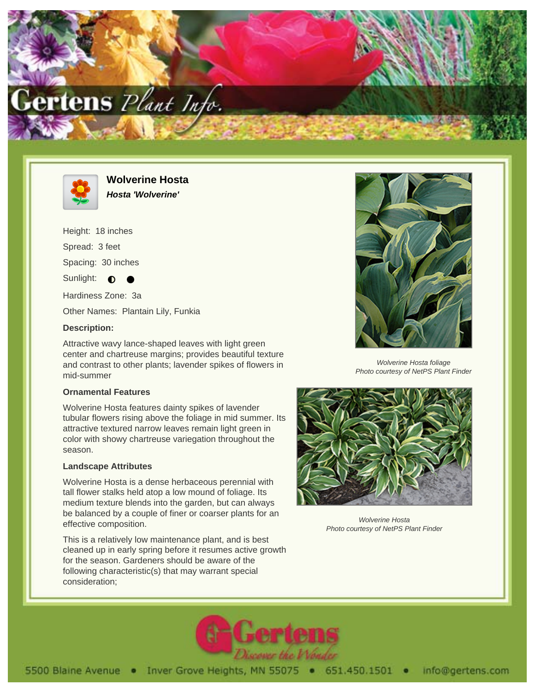



**Wolverine Hosta Hosta 'Wolverine'**

Height: 18 inches

Spread: 3 feet

Spacing: 30 inches

Sunlight:  $\bullet$ 

Hardiness Zone: 3a

Other Names: Plantain Lily, Funkia

### **Description:**

Attractive wavy lance-shaped leaves with light green center and chartreuse margins; provides beautiful texture and contrast to other plants; lavender spikes of flowers in mid-summer

#### **Ornamental Features**

Wolverine Hosta features dainty spikes of lavender tubular flowers rising above the foliage in mid summer. Its attractive textured narrow leaves remain light green in color with showy chartreuse variegation throughout the season.

# **Landscape Attributes**

Wolverine Hosta is a dense herbaceous perennial with tall flower stalks held atop a low mound of foliage. Its medium texture blends into the garden, but can always be balanced by a couple of finer or coarser plants for an effective composition.

This is a relatively low maintenance plant, and is best cleaned up in early spring before it resumes active growth for the season. Gardeners should be aware of the following characteristic(s) that may warrant special consideration;



Wolverine Hosta foliage Photo courtesy of NetPS Plant Finder



Wolverine Hosta Photo courtesy of NetPS Plant Finder